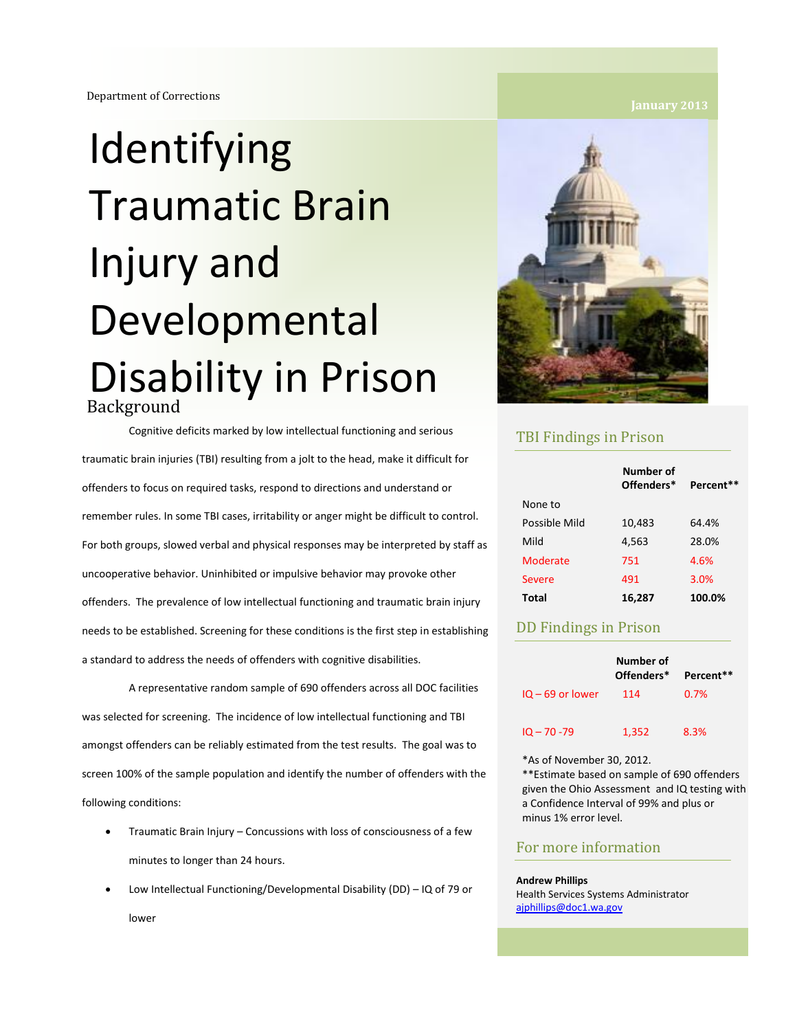# **Identifying** Traumatic Brain Injury and Developmental Disability in Prison Background

Cognitive deficits marked by low intellectual functioning and serious traumatic brain injuries (TBI) resulting from a jolt to the head, make it difficult for offenders to focus on required tasks, respond to directions and understand or remember rules. In some TBI cases, irritability or anger might be difficult to control. For both groups, slowed verbal and physical responses may be interpreted by staff as uncooperative behavior. Uninhibited or impulsive behavior may provoke other offenders. The prevalence of low intellectual functioning and traumatic brain injury needs to be established. Screening for these conditions is the first step in establishing a standard to address the needs of offenders with cognitive disabilities.

A representative random sample of 690 offenders across all DOC facilities was selected for screening. The incidence of low intellectual functioning and TBI amongst offenders can be reliably estimated from the test results. The goal was to screen 100% of the sample population and identify the number of offenders with the following conditions:

- Traumatic Brain Injury Concussions with loss of consciousness of a few minutes to longer than 24 hours.
- Low Intellectual Functioning/Developmental Disability (DD) IQ of 79 or lower



### TBI Findings in Prison

|               | Number of<br>Offenders* | Percent** |
|---------------|-------------------------|-----------|
| None to       |                         |           |
| Possible Mild | 10,483                  | 64.4%     |
| Mild          | 4,563                   | 28.0%     |
| Moderate      | 751                     | 4.6%      |
| Severe        | 491                     | 3.0%      |
| Total         | 16,287                  | 100.0%    |

### DD Findings in Prison

|                    | Number of<br>Offenders* | Percent** |
|--------------------|-------------------------|-----------|
| $10 - 69$ or lower | 114                     | 0.7%      |
| $10 - 70 - 79$     | 1,352                   | 8.3%      |

\*As of November 30, 2012.

\*\*Estimate based on sample of 690 offenders given the Ohio Assessment and IQ testing with a Confidence Interval of 99% and plus or minus 1% error level.

### For more information

### **Andrew Phillips**

Health Services Systems Administrator [ajphillips@doc1.wa.gov](mailto:ajphillips@doc1.wa.gov)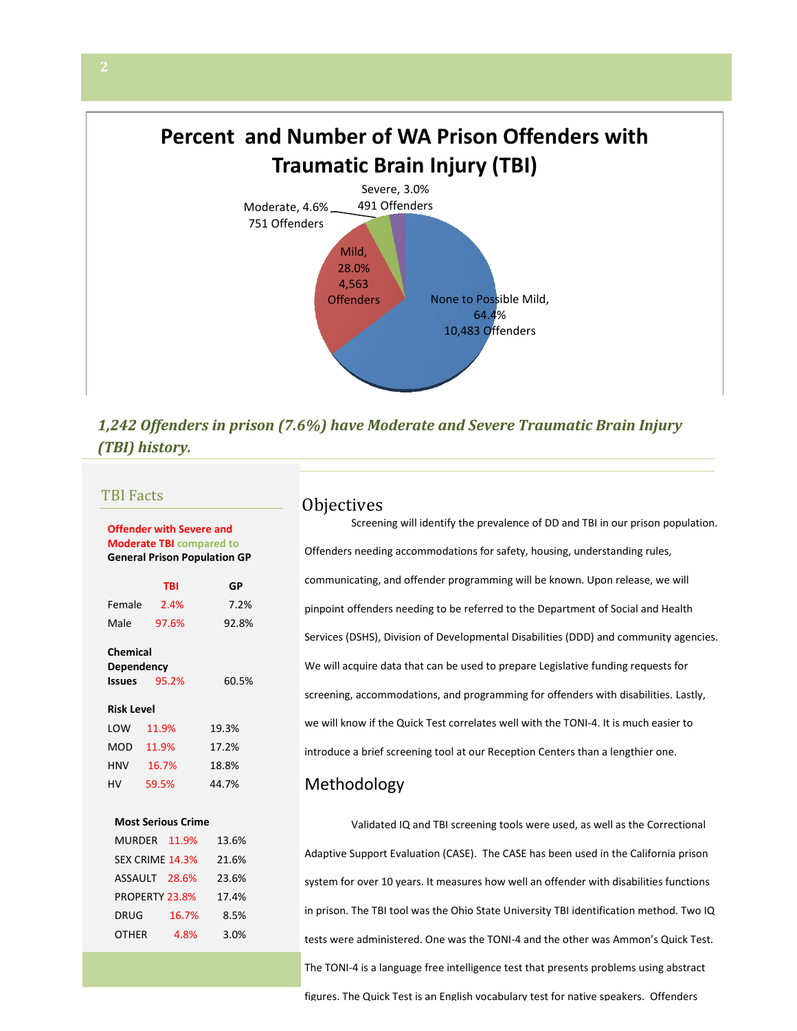# **Percent and Number of WA Prison Offenders with Traumatic Brain Injury (TBI)**



## *1,242 Offenders in prison (7.6%) have Moderate and Severe Traumatic Brain Injury (TBI) history.*

### **Offender with Severe and Moderate TBI compared to General Prison Population GP**

|                                                                  | TBI   | GP    |
|------------------------------------------------------------------|-------|-------|
| Female                                                           | 2.4%  | 7.2%  |
| Male                                                             | 97.6% | 92.8% |
| Chemical<br>Dependency<br>60.5%<br>95.2%<br>Issues<br>Risk Level |       |       |
| LOW                                                              | 11.9% | 19.3% |
| MOD                                                              | 11.9% | 17.2% |
| HNV                                                              | 16.7% | 18.8% |
| HV                                                               | 59.5% | 44.7% |
|                                                                  |       |       |

### **Most Serious Crime**

| <b>MURDER</b>   | 11.9% | 13.6% |
|-----------------|-------|-------|
| SEX CRIME 14.3% |       | 21.6% |
| ASSAULT         | 28.6% | 23.6% |
| PROPERTY 23.8%  |       | 17.4% |
| <b>DRUG</b>     | 16.7% | 8.5%  |
| <b>OTHER</b>    | 4.8%  | 3.0%  |

# TBI Facts Objectives

Screening will identify the prevalence of DD and TBI in our prison population. Offenders needing accommodations for safety, housing, understanding rules, communicating, and offender programming will be known. Upon release, we will pinpoint offenders needing to be referred to the Department of Social and Health Services (DSHS), Division of Developmental Disabilities (DDD) and community agencies. We will acquire data that can be used to prepare Legislative funding requests for screening, accommodations, and programming for offenders with disabilities. Lastly, we will know if the Quick Test correlates well with the TONI-4. It is much easier to introduce a brief screening tool at our Reception Centers than a lengthier one.

### Methodology

Validated IQ and TBI screening tools were used, as well as the Correctional Adaptive Support Evaluation (CASE). The CASE has been used in the California prison system for over 10 years. It measures how well an offender with disabilities functions in prison. The TBI tool was the Ohio State University TBI identification method. Two IQ tests were administered. One was the TONI-4 and the other was Ammon's Quick Test. The TONI-4 is a language free intelligence test that presents problems using abstract figures. The Quick Test is an English vocabulary test for native speakers. Offenders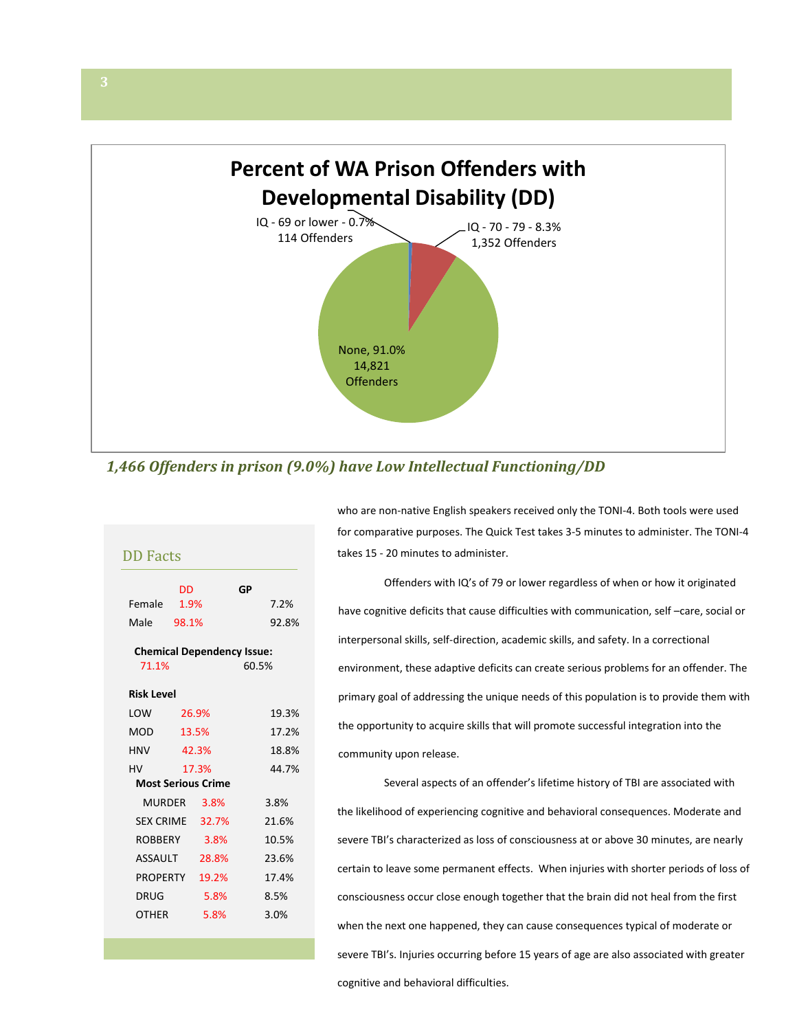

*1,466 Offenders in prison (9.0%) have Low Intellectual Functioning/DD* 

|        | DD    | GP |       |
|--------|-------|----|-------|
| Female | 1.9%  |    | 7.2%  |
| Male   | 98.1% |    | 92.8% |

**Chemical Dependency Issue:**  71.1% 60.5%

### **Risk Level**

| LOW                       | 26.9% | 19.3% |
|---------------------------|-------|-------|
| MOD                       | 13.5% | 17.2% |
| HNV                       | 42.3% | 18.8% |
| HV                        | 17.3% | 44.7% |
| <b>Most Serious Crime</b> |       |       |
| MURDER                    | 3.8%  | 3.8%  |
| <b>SEX CRIME</b>          | 32.7% | 21.6% |
| ROBBERY                   | 3.8%  | 10.5% |
| ASSAULT                   | 28.8% | 23.6% |
| PROPERTY                  | 19.2% | 17.4% |
| DRUG                      | 5.8%  | 8.5%  |
| OTHER                     | 5.8%  | 3.0%  |
|                           |       |       |

who are non-native English speakers received only the TONI-4. Both tools were used for comparative purposes. The Quick Test takes 3-5 minutes to administer. The TONI-4 takes 15 - 20 minutes to administer.

Offenders with IQ's of 79 or lower regardless of when or how it originated have cognitive deficits that cause difficulties with communication, self –care, social or interpersonal skills, self-direction, academic skills, and safety. In a correctional environment, these adaptive deficits can create serious problems for an offender. The primary goal of addressing the unique needs of this population is to provide them with the opportunity to acquire skills that will promote successful integration into the community upon release.

Several aspects of an offender's lifetime history of TBI are associated with the likelihood of experiencing cognitive and behavioral consequences. Moderate and severe TBI's characterized as loss of consciousness at or above 30 minutes, are nearly certain to leave some permanent effects. When injuries with shorter periods of loss of consciousness occur close enough together that the brain did not heal from the first when the next one happened, they can cause consequences typical of moderate or severe TBI's. Injuries occurring before 15 years of age are also associated with greater cognitive and behavioral difficulties.